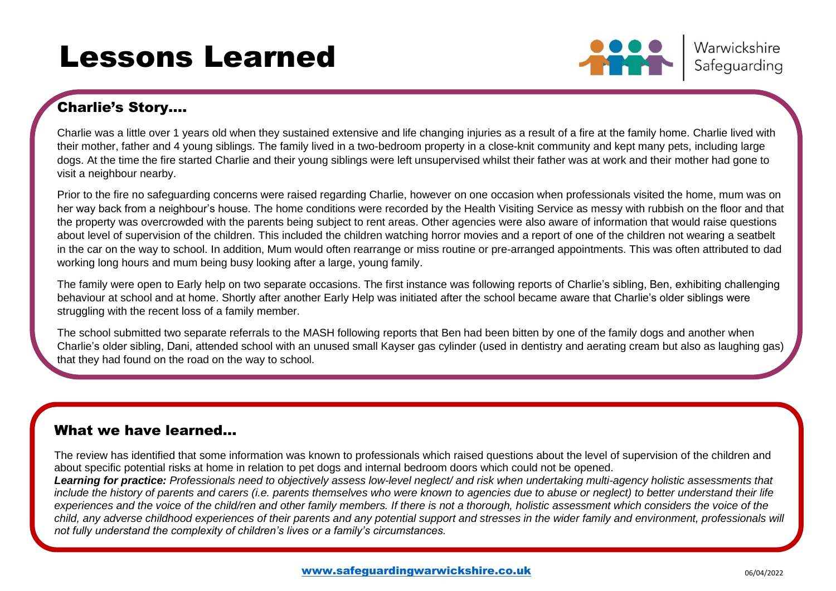# Lessons Learned



Warwickshire Safeguarding

### Charlie's Story….

Charlie was a little over 1 years old when they sustained extensive and life changing injuries as a result of a fire at the family home. Charlie lived with their mother, father and 4 young siblings. The family lived in a two-bedroom property in a close-knit community and kept many pets, including large dogs. At the time the fire started Charlie and their young siblings were left unsupervised whilst their father was at work and their mother had gone to visit a neighbour nearby.

Prior to the fire no safeguarding concerns were raised regarding Charlie, however on one occasion when professionals visited the home, mum was on her way back from a neighbour's house. The home conditions were recorded by the Health Visiting Service as messy with rubbish on the floor and that the property was overcrowded with the parents being subject to rent areas. Other agencies were also aware of information that would raise questions about level of supervision of the children. This included the children watching horror movies and a report of one of the children not wearing a seatbelt in the car on the way to school. In addition, Mum would often rearrange or miss routine or pre-arranged appointments. This was often attributed to dad working long hours and mum being busy looking after a large, young family.

The family were open to Early help on two separate occasions. The first instance was following reports of Charlie's sibling, Ben, exhibiting challenging behaviour at school and at home. Shortly after another Early Help was initiated after the school became aware that Charlie's older siblings were struggling with the recent loss of a family member.

The school submitted two separate referrals to the MASH following reports that Ben had been bitten by one of the family dogs and another when Charlie's older sibling, Dani, attended school with an unused small Kayser gas cylinder (used in dentistry and aerating cream but also as laughing gas) that they had found on the road on the way to school.

### What we have learned…

**neighbour. The fire was started by a candle that was knocked over** 

The review has identified that some information was known to professionals which raised questions about the level of supervision of the children and about specific potential risks at home in relation to pet dogs and internal bedroom doors which could not be opened.

**At the time of the fire his father was at work and his mother had left Charlie and his siblings unsupervised whilst she visited a**  *Learning for practice: Professionals need to objectively assess low-level neglect/ and risk when undertaking multi-agency holistic assessments that include the history of parents and carers (i.e. parents themselves who were known to agencies due to abuse or neglect) to better understand their life experiences and the voice of the child/ren and other family members. If there is not a thorough, holistic assessment which considers the voice of the child, any adverse childhood experiences of their parents and any potential support and stresses in the wider family and environment, professionals will not fully understand the complexity of children's lives or a family's circumstances.*